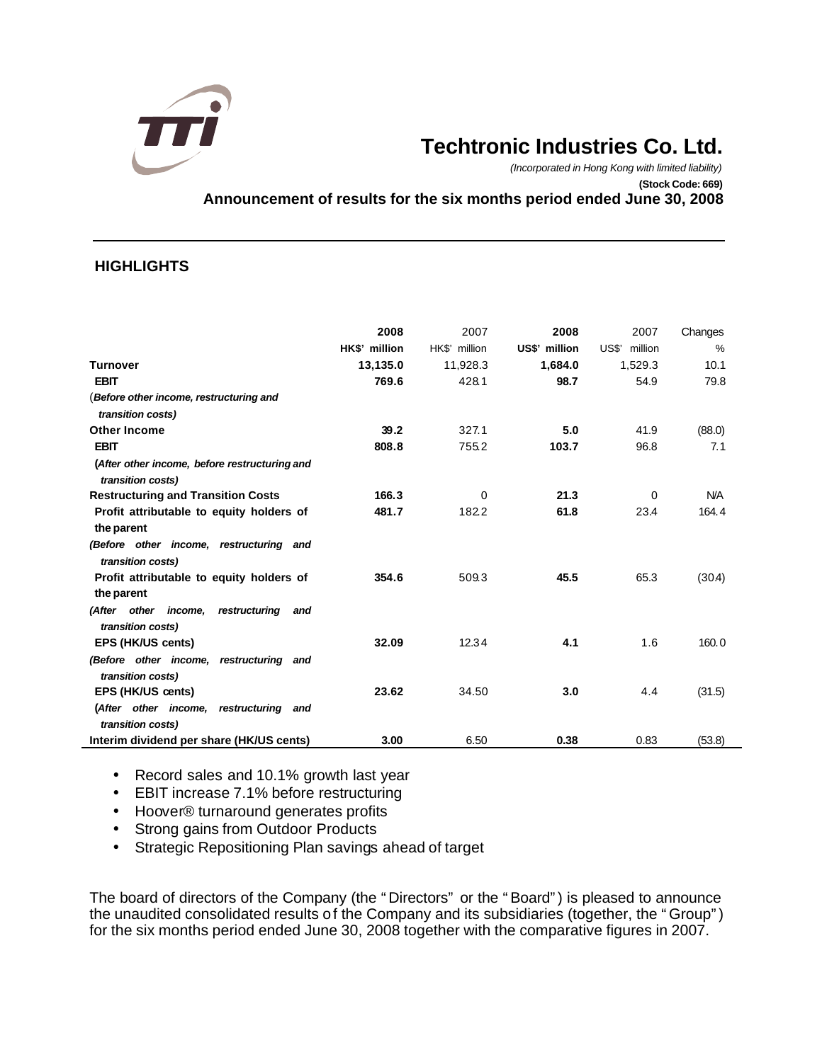

# **Techtronic Industries Co. Ltd.**

*(Incorporated in Hong Kong with limited liability)* **(Stock Code: 669) Announcement of results for the six months period ended June 30, 2008**

## **HIGHLIGHTS**

|                                                                    | 2008<br>HK\$' million | 2007<br>HK\$' million | 2008<br>US\$' million | 2007<br>US\$'<br>million | Changes<br>$\%$ |
|--------------------------------------------------------------------|-----------------------|-----------------------|-----------------------|--------------------------|-----------------|
| <b>Turnover</b>                                                    | 13,135.0              | 11,928.3              | 1,684.0               | 1,529.3                  | 10.1            |
| <b>EBIT</b>                                                        | 769.6                 | 428.1                 | 98.7                  | 54.9                     | 79.8            |
| (Before other income, restructuring and<br>transition costs)       |                       |                       |                       |                          |                 |
| <b>Other Income</b>                                                | 39.2                  | 327.1                 | 5.0                   | 41.9                     | (88.0)          |
| <b>EBIT</b>                                                        | 808.8                 | 755.2                 | 103.7                 | 96.8                     | 7.1             |
| (After other income, before restructuring and<br>transition costs) |                       |                       |                       |                          |                 |
| <b>Restructuring and Transition Costs</b>                          | 166.3                 | 0                     | 21.3                  | $\Omega$                 | <b>N/A</b>      |
| Profit attributable to equity holders of                           | 481.7                 | 182.2                 | 61.8                  | 23.4                     | 164.4           |
| the parent                                                         |                       |                       |                       |                          |                 |
| (Before other income, restructuring and<br>transition costs)       |                       |                       |                       |                          |                 |
| Profit attributable to equity holders of                           | 354.6                 | 509.3                 | 45.5                  | 65.3                     | (30.4)          |
| the parent                                                         |                       |                       |                       |                          |                 |
| (After other income, restructuring<br>and<br>transition costs)     |                       |                       |                       |                          |                 |
| EPS (HK/US cents)                                                  | 32.09                 | 12.34                 | 4.1                   | 1.6                      | 160.0           |
| (Before other income, restructuring and<br>transition costs)       |                       |                       |                       |                          |                 |
| EPS (HK/US cents)                                                  | 23.62                 | 34.50                 | 3.0                   | 4.4                      | (31.5)          |
| (After other income, restructuring<br>and                          |                       |                       |                       |                          |                 |
| transition costs)                                                  |                       |                       |                       |                          |                 |
| Interim dividend per share (HK/US cents)                           | 3.00                  | 6.50                  | 0.38                  | 0.83                     | (53.8)          |

• Record sales and 10.1% growth last year

- EBIT increase 7.1% before restructuring
- Hoover® turnaround generates profits
- Strong gains from Outdoor Products
- Strategic Repositioning Plan savings ahead of target

The board of directors of the Company (the "Directors" or the "Board") is pleased to announce the unaudited consolidated results of the Company and its subsidiaries (together, the "Group") for the six months period ended June 30, 2008 together with the comparative figures in 2007.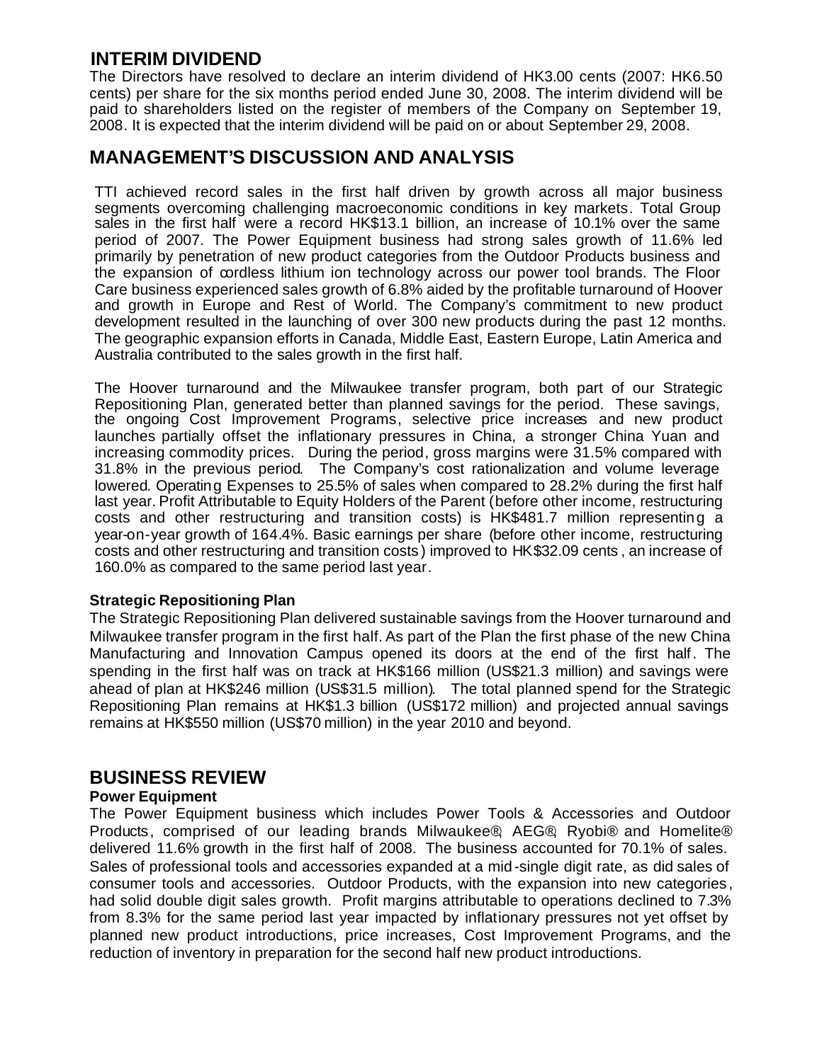## **INTERIM DIVIDEND**

The Directors have resolved to declare an interim dividend of HK3.00 cents (2007: HK6.50 cents) per share for the six months period ended June 30, 2008. The interim dividend will be paid to shareholders listed on the register of members of the Company on September 19, 2008. It is expected that the interim dividend will be paid on or about September 29, 2008.

## **MANAGEMENT'S DISCUSSION AND ANALYSIS**

TTI achieved record sales in the first half driven by growth across all major business segments overcoming challenging macroeconomic conditions in key markets. Total Group sales in the first half were a record HK\$13.1 billion, an increase of 10.1% over the same period of 2007. The Power Equipment business had strong sales growth of 11.6% led primarily by penetration of new product categories from the Outdoor Products business and the expansion of cordless lithium ion technology across our power tool brands. The Floor Care business experienced sales growth of 6.8% aided by the profitable turnaround of Hoover and growth in Europe and Rest of World. The Company's commitment to new product development resulted in the launching of over 300 new products during the past 12 months. The geographic expansion efforts in Canada, Middle East, Eastern Europe, Latin America and Australia contributed to the sales growth in the first half.

The Hoover turnaround and the Milwaukee transfer program, both part of our Strategic Repositioning Plan, generated better than planned savings for the period. These savings, the ongoing Cost Improvement Programs, selective price increases and new product launches partially offset the inflationary pressures in China, a stronger China Yuan and increasing commodity prices. During the period, gross margins were 31.5% compared with 31.8% in the previous period*.* The Company's cost rationalization and volume leverage lowered. Operating Expenses to 25.5% of sales when compared to 28.2% during the first half last year. Profit Attributable to Equity Holders of the Parent (before other income, restructuring costs and other restructuring and transition costs) is HK\$481.7 million representing a year-on-year growth of 164.4%. Basic earnings per share (before other income, restructuring costs and other restructuring and transition costs ) improved to HK\$32.09 cents , an increase of 160.0% as compared to the same period last year.

### **Strategic Repositioning Plan**

The Strategic Repositioning Plan delivered sustainable savings from the Hoover turnaround and Milwaukee transfer program in the first half. As part of the Plan the first phase of the new China Manufacturing and Innovation Campus opened its doors at the end of the first half. The spending in the first half was on track at HK\$166 million (US\$21.3 million) and savings were ahead of plan at HK\$246 million (US\$31.5 million). The total planned spend for the Strategic Repositioning Plan remains at HK\$1.3 billion (US\$172 million) and projected annual savings remains at HK\$550 million (US\$70 million) in the year 2010 and beyond.

## **BUSINESS REVIEW**

### **Power Equipment**

The Power Equipment business which includes Power Tools & Accessories and Outdoor Products, comprised of our leading brands Milwaukee®, AEG®, Ryobi® and Homelite® delivered 11.6% growth in the first half of 2008. The business accounted for 70.1% of sales. Sales of professional tools and accessories expanded at a mid-single digit rate, as did sales of consumer tools and accessories. Outdoor Products, with the expansion into new categories , had solid double digit sales growth. Profit margins attributable to operations declined to 7.3% from 8.3% for the same period last year impacted by inflationary pressures not yet offset by planned new product introductions, price increases, Cost Improvement Programs, and the reduction of inventory in preparation for the second half new product introductions.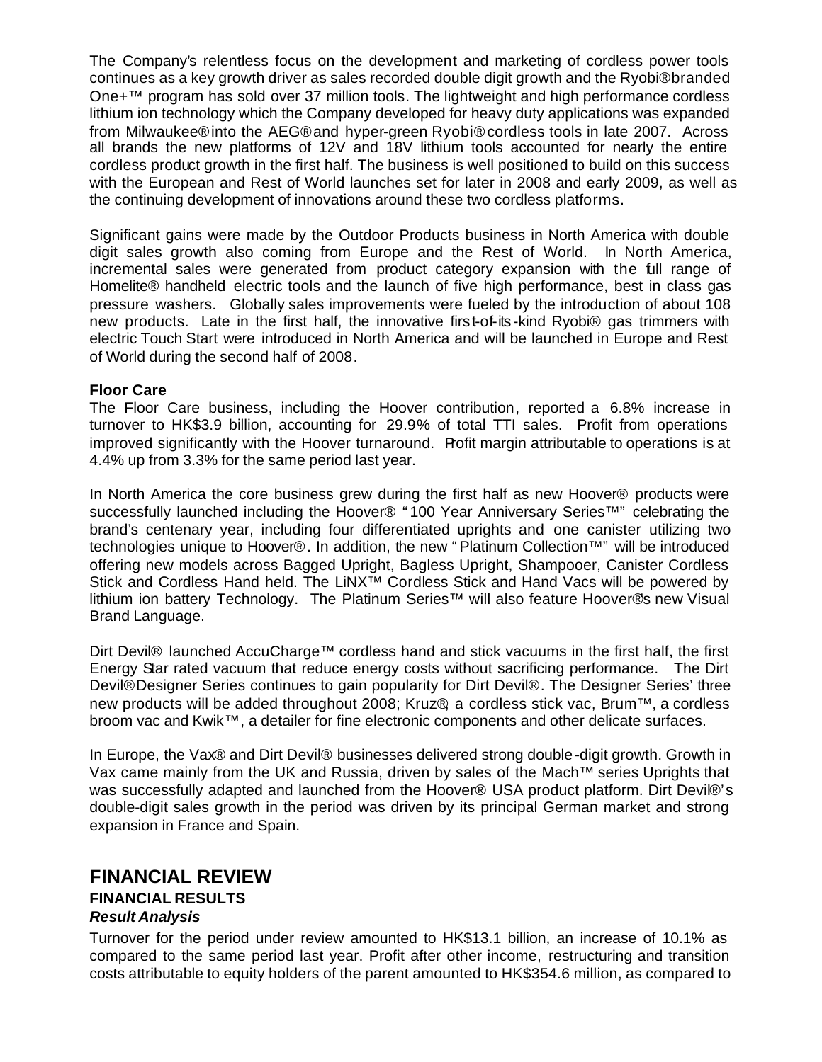The Company's relentless focus on the development and marketing of cordless power tools continues as a key growth driver as sales recorded double digit growth and the Ryobi® branded One+™ program has sold over 37 million tools. The lightweight and high performance cordless lithium ion technology which the Company developed for heavy duty applications was expanded from Milwaukee® into the AEG® and hyper-green Ryobi® cordless tools in late 2007. Across all brands the new platforms of 12V and 18V lithium tools accounted for nearly the entire cordless product growth in the first half. The business is well positioned to build on this success with the European and Rest of World launches set for later in 2008 and early 2009, as well as the continuing development of innovations around these two cordless platforms.

Significant gains were made by the Outdoor Products business in North America with double digit sales growth also coming from Europe and the Rest of World. In North America, incremental sales were generated from product category expansion with the full range of Homelite® handheld electric tools and the launch of five high performance, best in class gas pressure washers. Globally sales improvements were fueled by the introduction of about 108 new products. Late in the first half, the innovative first-of-its-kind Ryobi® gas trimmers with electric Touch Start were introduced in North America and will be launched in Europe and Rest of World during the second half of 2008.

### **Floor Care**

The Floor Care business, including the Hoover contribution, reported a 6.8% increase in turnover to HK\$3.9 billion, accounting for 29.9% of total TTI sales. Profit from operations improved significantly with the Hoover turnaround. Profit margin attributable to operations is at 4.4% up from 3.3% for the same period last year.

In North America the core business grew during the first half as new Hoover® products were successfully launched including the Hoover® "100 Year Anniversary Series™" celebrating the brand's centenary year, including four differentiated uprights and one canister utilizing two technologies unique to Hoover®. In addition, the new "Platinum Collection<sup>™</sup> will be introduced offering new models across Bagged Upright, Bagless Upright, Shampooer, Canister Cordless Stick and Cordless Hand held. The LiNX™ Cordless Stick and Hand Vacs will be powered by lithium ion battery Technology. The Platinum Series™ will also feature Hoover®s new Visual Brand Language.

Dirt Devil® launched AccuCharge™ cordless hand and stick vacuums in the first half, the first Energy Star rated vacuum that reduce energy costs without sacrificing performance. The Dirt Devil® Designer Series continues to gain popularity for Dirt Devil® . The Designer Series' three new products will be added throughout 2008; Kruz® a cordless stick vac, Brum™, a cordless broom vac and Kwik™ , a detailer for fine electronic components and other delicate surfaces.

In Europe, the Vax® and Dirt Devil® businesses delivered strong double-digit growth. Growth in Vax came mainly from the UK and Russia, driven by sales of the Mach™ series Uprights that was successfully adapted and launched from the Hoover® USA product platform. Dirt Devil®'s double-digit sales growth in the period was driven by its principal German market and strong expansion in France and Spain.

## **FINANCIAL REVIEW**

#### **FINANCIAL RESULTS** *Result Analysis*

Turnover for the period under review amounted to HK\$13.1 billion, an increase of 10.1% as compared to the same period last year. Profit after other income, restructuring and transition costs attributable to equity holders of the parent amounted to HK\$354.6 million, as compared to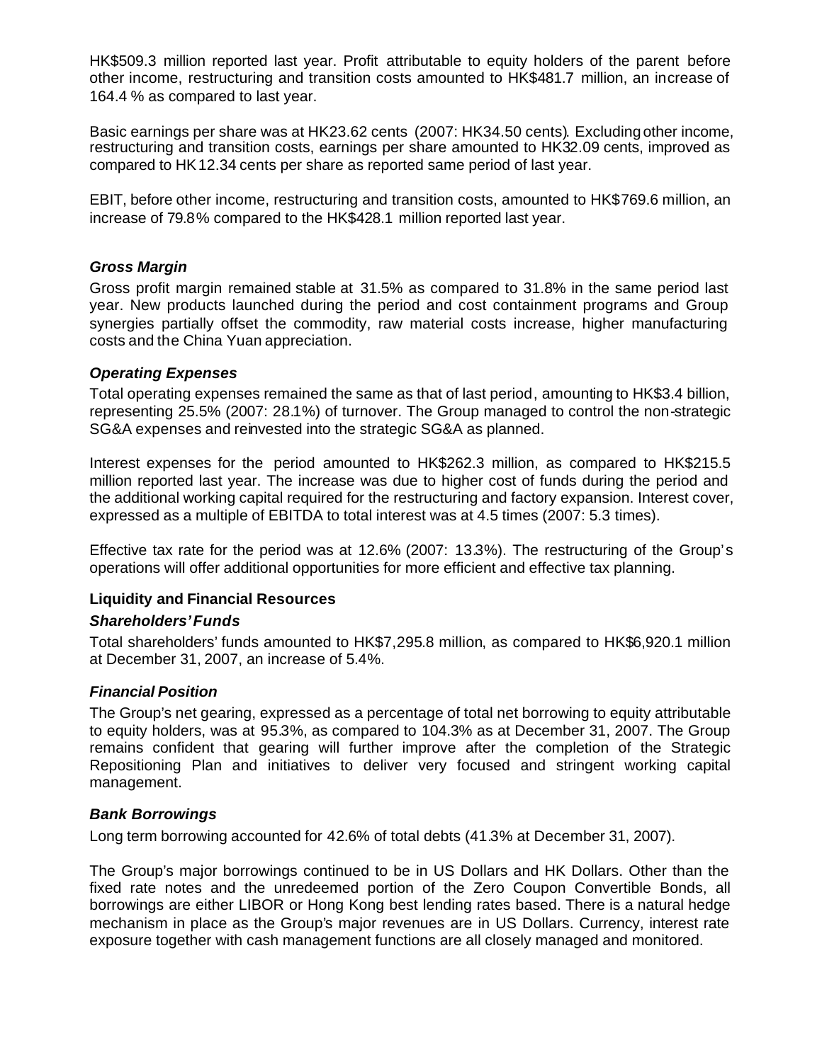HK\$509.3 million reported last year. Profit attributable to equity holders of the parent before other income, restructuring and transition costs amounted to HK\$481.7 million, an increase of 164.4 % as compared to last year.

Basic earnings per share was at HK23.62 cents (2007: HK34.50 cents). Excluding other income, restructuring and transition costs, earnings per share amounted to HK32.09 cents, improved as compared to HK12.34 cents per share as reported same period of last year.

EBIT, before other income, restructuring and transition costs, amounted to HK\$769.6 million, an increase of 79.8% compared to the HK\$428.1 million reported last year.

### *Gross Margin*

Gross profit margin remained stable at 31.5% as compared to 31.8% in the same period last year. New products launched during the period and cost containment programs and Group synergies partially offset the commodity, raw material costs increase, higher manufacturing costs and the China Yuan appreciation.

### *Operating Expenses*

Total operating expenses remained the same as that of last period, amounting to HK\$3.4 billion, representing 25.5% (2007: 28.1%) of turnover. The Group managed to control the non-strategic SG&A expenses and reinvested into the strategic SG&A as planned.

Interest expenses for the period amounted to HK\$262.3 million, as compared to HK\$215.5 million reported last year. The increase was due to higher cost of funds during the period and the additional working capital required for the restructuring and factory expansion. Interest cover, expressed as a multiple of EBITDA to total interest was at 4.5 times (2007: 5.3 times).

Effective tax rate for the period was at 12.6% (2007: 13.3%). The restructuring of the Group's operations will offer additional opportunities for more efficient and effective tax planning.

### **Liquidity and Financial Resources**

### *Shareholders' Funds*

Total shareholders' funds amounted to HK\$7,295.8 million, as compared to HK\$6,920.1 million at December 31, 2007, an increase of 5.4%.

### *Financial Position*

The Group's net gearing, expressed as a percentage of total net borrowing to equity attributable to equity holders, was at 95.3%, as compared to 104.3% as at December 31, 2007. The Group remains confident that gearing will further improve after the completion of the Strategic Repositioning Plan and initiatives to deliver very focused and stringent working capital management.

### *Bank Borrowings*

Long term borrowing accounted for 42.6% of total debts (41.3% at December 31, 2007).

The Group's major borrowings continued to be in US Dollars and HK Dollars. Other than the fixed rate notes and the unredeemed portion of the Zero Coupon Convertible Bonds, all borrowings are either LIBOR or Hong Kong best lending rates based. There is a natural hedge mechanism in place as the Group's major revenues are in US Dollars. Currency, interest rate exposure together with cash management functions are all closely managed and monitored.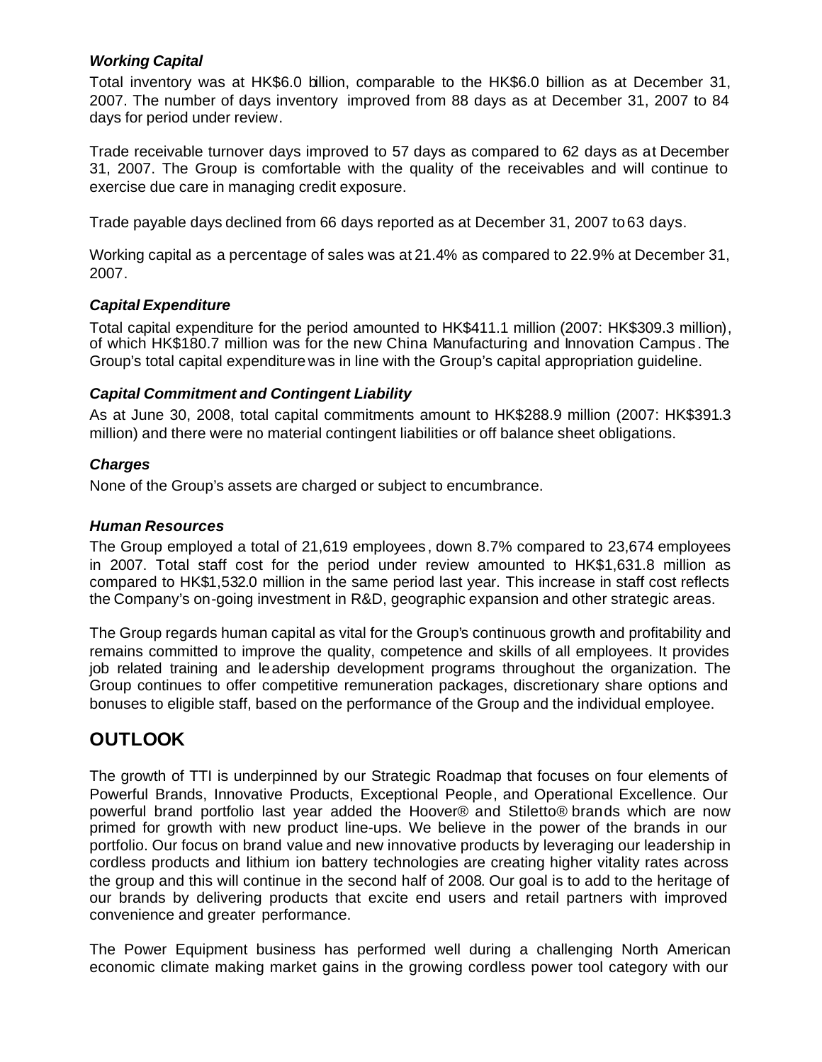### *Working Capital*

Total inventory was at HK\$6.0 billion, comparable to the HK\$6.0 billion as at December 31, 2007. The number of days inventory improved from 88 days as at December 31, 2007 to 84 days for period under review.

Trade receivable turnover days improved to 57 days as compared to 62 days as at December 31, 2007. The Group is comfortable with the quality of the receivables and will continue to exercise due care in managing credit exposure.

Trade payable days declined from 66 days reported as at December 31, 2007 to 63 days.

Working capital as a percentage of sales was at 21.4% as compared to 22.9% at December 31, 2007.

### *Capital Expenditure*

Total capital expenditure for the period amounted to HK\$411.1 million (2007: HK\$309.3 million), of which HK\$180.7 million was for the new China Manufacturing and Innovation Campus . The Group's total capital expenditure was in line with the Group's capital appropriation guideline.

## *Capital Commitment and Contingent Liability*

As at June 30, 2008, total capital commitments amount to HK\$288.9 million (2007: HK\$391.3 million) and there were no material contingent liabilities or off balance sheet obligations.

## *Charges*

None of the Group's assets are charged or subject to encumbrance.

## *Human Resources*

The Group employed a total of 21,619 employees , down 8.7% compared to 23,674 employees in 2007. Total staff cost for the period under review amounted to HK\$1,631.8 million as compared to HK\$1,532.0 million in the same period last year. This increase in staff cost reflects the Company's on-going investment in R&D, geographic expansion and other strategic areas.

The Group regards human capital as vital for the Group's continuous growth and profitability and remains committed to improve the quality, competence and skills of all employees. It provides job related training and leadership development programs throughout the organization. The Group continues to offer competitive remuneration packages, discretionary share options and bonuses to eligible staff, based on the performance of the Group and the individual employee.

## **OUTLOOK**

The growth of TTI is underpinned by our Strategic Roadmap that focuses on four elements of Powerful Brands, Innovative Products, Exceptional People, and Operational Excellence. Our powerful brand portfolio last year added the Hoover® and Stiletto® brands which are now primed for growth with new product line-ups. We believe in the power of the brands in our portfolio. Our focus on brand value and new innovative products by leveraging our leadership in cordless products and lithium ion battery technologies are creating higher vitality rates across the group and this will continue in the second half of 2008. Our goal is to add to the heritage of our brands by delivering products that excite end users and retail partners with improved convenience and greater performance.

The Power Equipment business has performed well during a challenging North American economic climate making market gains in the growing cordless power tool category with our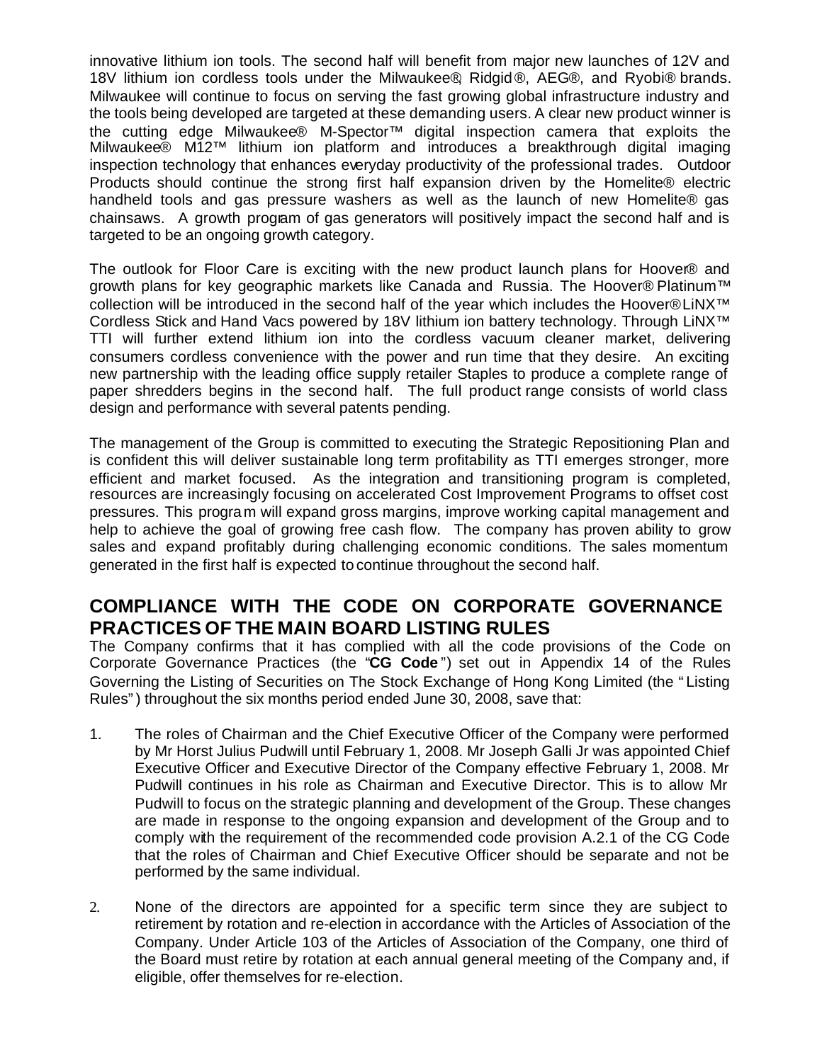innovative lithium ion tools. The second half will benefit from major new launches of 12V and 18V lithium ion cordless tools under the Milwaukee®, Ridgid® , AEG® , and Ryobi® brands. Milwaukee will continue to focus on serving the fast growing global infrastructure industry and the tools being developed are targeted at these demanding users. A clear new product winner is the cutting edge Milwaukee® M-Spector™ digital inspection camera that exploits the Milwaukee® M12™ lithium ion platform and introduces a breakthrough digital imaging inspection technology that enhances everyday productivity of the professional trades. Outdoor Products should continue the strong first half expansion driven by the Homelite® electric handheld tools and gas pressure washers as well as the launch of new Homelite® gas chainsaws. A growth program of gas generators will positively impact the second half and is targeted to be an ongoing growth category.

The outlook for Floor Care is exciting with the new product launch plans for Hoover® and growth plans for key geographic markets like Canada and Russia. The Hoover® Platinum™ collection will be introduced in the second half of the year which includes the Hoover® LiNX<sup>™</sup> Cordless Stick and Hand Vacs powered by 18V lithium ion battery technology. Through LiNX™ TTI will further extend lithium ion into the cordless vacuum cleaner market, delivering consumers cordless convenience with the power and run time that they desire. An exciting new partnership with the leading office supply retailer Staples to produce a complete range of paper shredders begins in the second half. The full product range consists of world class design and performance with several patents pending.

The management of the Group is committed to executing the Strategic Repositioning Plan and is confident this will deliver sustainable long term profitability as TTI emerges stronger, more efficient and market focused. As the integration and transitioning program is completed, resources are increasingly focusing on accelerated Cost Improvement Programs to offset cost pressures. This program will expand gross margins, improve working capital management and help to achieve the goal of growing free cash flow. The company has proven ability to grow sales and expand profitably during challenging economic conditions. The sales momentum generated in the first half is expected to continue throughout the second half.

## **COMPLIANCE WITH THE CODE ON CORPORATE GOVERNANCE PRACTICES OF THE MAIN BOARD LISTING RULES**

The Company confirms that it has complied with all the code provisions of the Code on Corporate Governance Practices (the "**CG Code** ") set out in Appendix 14 of the Rules Governing the Listing of Securities on The Stock Exchange of Hong Kong Limited (the "Listing Rules") throughout the six months period ended June 30, 2008, save that:

- 1. The roles of Chairman and the Chief Executive Officer of the Company were performed by Mr Horst Julius Pudwill until February 1, 2008. Mr Joseph Galli Jr was appointed Chief Executive Officer and Executive Director of the Company effective February 1, 2008. Mr Pudwill continues in his role as Chairman and Executive Director. This is to allow Mr Pudwill to focus on the strategic planning and development of the Group. These changes are made in response to the ongoing expansion and development of the Group and to comply with the requirement of the recommended code provision A.2.1 of the CG Code that the roles of Chairman and Chief Executive Officer should be separate and not be performed by the same individual.
- 2. None of the directors are appointed for a specific term since they are subject to retirement by rotation and re-election in accordance with the Articles of Association of the Company. Under Article 103 of the Articles of Association of the Company, one third of the Board must retire by rotation at each annual general meeting of the Company and, if eligible, offer themselves for re-election.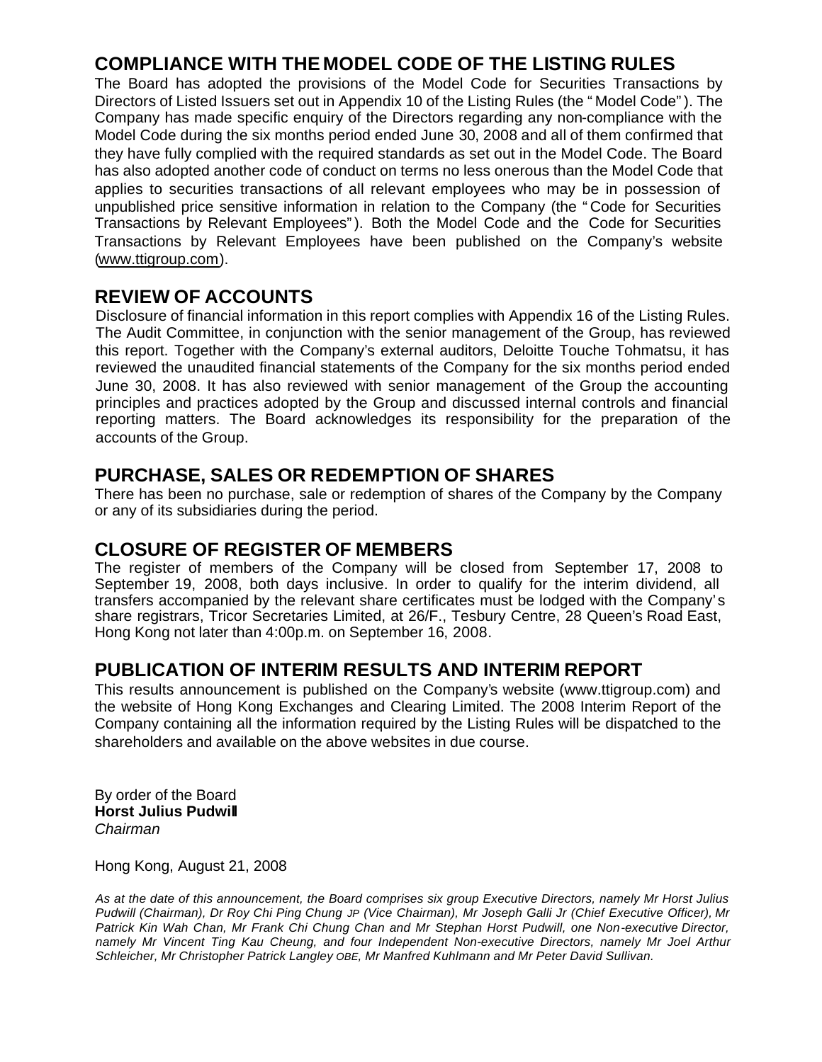## **COMPLIANCE WITH THE MODEL CODE OF THE LISTING RULES**

The Board has adopted the provisions of the Model Code for Securities Transactions by Directors of Listed Issuers set out in Appendix 10 of the Listing Rules (the "Model Code"). The Company has made specific enquiry of the Directors regarding any non-compliance with the Model Code during the six months period ended June 30, 2008 and all of them confirmed that they have fully complied with the required standards as set out in the Model Code. The Board has also adopted another code of conduct on terms no less onerous than the Model Code that applies to securities transactions of all relevant employees who may be in possession of unpublished price sensitive information in relation to the Company (the "Code for Securities Transactions by Relevant Employees"). Both the Model Code and the Code for Securities Transactions by Relevant Employees have been published on the Company's website (www.ttigroup.com).

## **REVIEW OF ACCOUNTS**

Disclosure of financial information in this report complies with Appendix 16 of the Listing Rules. The Audit Committee, in conjunction with the senior management of the Group, has reviewed this report. Together with the Company's external auditors, Deloitte Touche Tohmatsu, it has reviewed the unaudited financial statements of the Company for the six months period ended June 30, 2008. It has also reviewed with senior management of the Group the accounting principles and practices adopted by the Group and discussed internal controls and financial reporting matters. The Board acknowledges its responsibility for the preparation of the accounts of the Group.

## **PURCHASE, SALES OR REDEMPTION OF SHARES**

There has been no purchase, sale or redemption of shares of the Company by the Company or any of its subsidiaries during the period.

## **CLOSURE OF REGISTER OF MEMBERS**

The register of members of the Company will be closed from September 17, 2008 to September 19, 2008, both days inclusive. In order to qualify for the interim dividend, all transfers accompanied by the relevant share certificates must be lodged with the Company's share registrars, Tricor Secretaries Limited, at 26/F., Tesbury Centre, 28 Queen's Road East, Hong Kong not later than 4:00p.m. on September 16, 2008.

## **PUBLICATION OF INTERIM RESULTS AND INTERIM REPORT**

This results announcement is published on the Company's website (www.ttigroup.com) and the website of Hong Kong Exchanges and Clearing Limited. The 2008 Interim Report of the Company containing all the information required by the Listing Rules will be dispatched to the shareholders and available on the above websites in due course.

By order of the Board **Horst Julius Pudwill** *Chairman* 

Hong Kong, August 21, 2008

*As at the date of this announcement, the Board comprises six group Executive Directors, namely Mr Horst Julius Pudwill (Chairman), Dr Roy Chi Ping Chung JP (Vice Chairman), Mr Joseph Galli Jr (Chief Executive Officer), Mr Patrick Kin Wah Chan, Mr Frank Chi Chung Chan and Mr Stephan Horst Pudwill, one Non-executive Director, namely Mr Vincent Ting Kau Cheung, and four Independent Non-executive Directors, namely Mr Joel Arthur Schleicher, Mr Christopher Patrick Langley OBE, Mr Manfred Kuhlmann and Mr Peter David Sullivan.*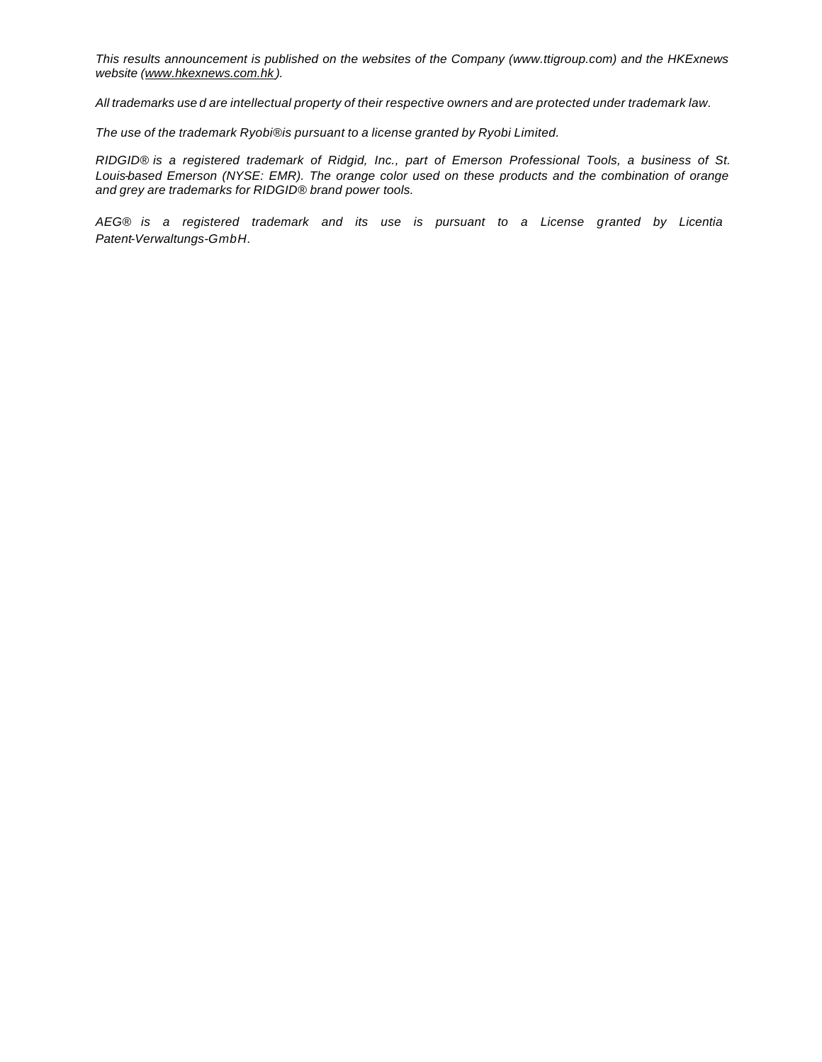*This results announcement is published on the websites of the Company (www.ttigroup.com) and the HKExnews website (www.hkexnews.com.hk ).*

*All trademarks use d are intellectual property of their respective owners and are protected under trademark law.*

*The use of the trademark Ryobi® is pursuant to a license granted by Ryobi Limited.*

*RIDGID® is a registered trademark of Ridgid, Inc., part of Emerson Professional Tools, a business of St. Louis-based Emerson (NYSE: EMR). The orange color used on these products and the combination of orange and grey are trademarks for RIDGID® brand power tools.*

*AEG® is a registered trademark and its use is pursuant to a License granted by Licentia Patent-Verwaltungs-GmbH.*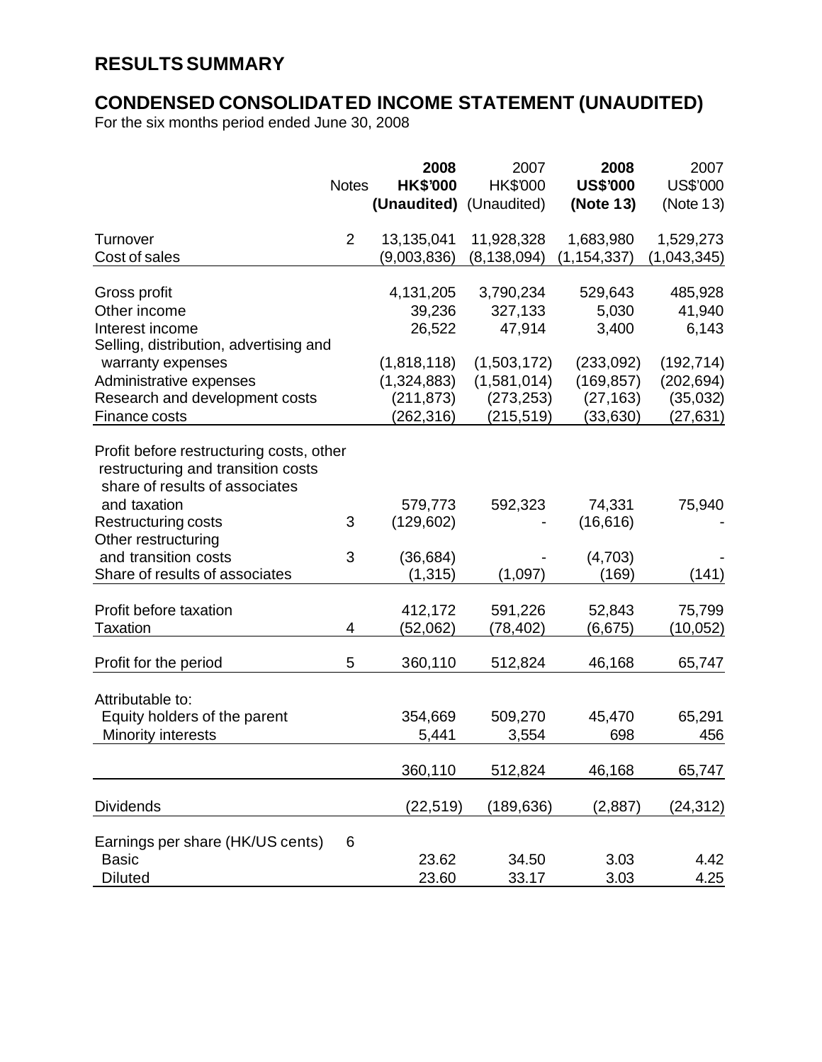# **RESULTS SUMMARY**

## **CONDENSED CONSOLIDATED INCOME STATEMENT (UNAUDITED)**

For the six months period ended June 30, 2008

|                                                                                                                  | <b>Notes</b>   | 2008<br><b>HK\$'000</b><br>(Unaudited) (Unaudited) | 2007<br>HK\$'000 | 2008<br><b>US\$'000</b><br>(Note 13) | 2007<br>US\$'000<br>(Note 13) |
|------------------------------------------------------------------------------------------------------------------|----------------|----------------------------------------------------|------------------|--------------------------------------|-------------------------------|
| Turnover                                                                                                         | $\overline{2}$ | 13,135,041                                         | 11,928,328       | 1,683,980                            | 1,529,273                     |
| Cost of sales                                                                                                    |                | (9,003,836)                                        | (8, 138, 094)    | (1, 154, 337)                        | (1,043,345)                   |
| Gross profit                                                                                                     |                | 4,131,205                                          | 3,790,234        | 529,643                              | 485,928                       |
| Other income                                                                                                     |                | 39,236                                             | 327,133          | 5,030                                | 41,940                        |
| Interest income                                                                                                  |                | 26,522                                             | 47,914           | 3,400                                | 6,143                         |
| Selling, distribution, advertising and                                                                           |                |                                                    |                  |                                      |                               |
| warranty expenses                                                                                                |                | (1,818,118)                                        | (1,503,172)      | (233,092)                            | (192, 714)                    |
| Administrative expenses                                                                                          |                | (1,324,883)                                        | (1,581,014)      | (169, 857)                           | (202, 694)                    |
| Research and development costs                                                                                   |                | (211, 873)                                         | (273, 253)       | (27, 163)                            | (35,032)                      |
| Finance costs                                                                                                    |                | (262, 316)                                         | (215, 519)       | (33, 630)                            | (27, 631)                     |
| Profit before restructuring costs, other<br>restructuring and transition costs<br>share of results of associates |                |                                                    |                  |                                      |                               |
| and taxation                                                                                                     |                | 579,773                                            | 592,323          | 74,331                               | 75,940                        |
| <b>Restructuring costs</b>                                                                                       | 3              | (129, 602)                                         |                  | (16, 616)                            |                               |
| Other restructuring                                                                                              |                |                                                    |                  |                                      |                               |
| and transition costs<br>Share of results of associates                                                           | 3              | (36, 684)                                          |                  | (4,703)                              |                               |
|                                                                                                                  |                | (1, 315)                                           | (1,097)          | (169)                                | (141)                         |
| Profit before taxation                                                                                           |                | 412,172                                            | 591,226          | 52,843                               | 75,799                        |
| <b>Taxation</b>                                                                                                  | 4              | (52,062)                                           | (78, 402)        | (6,675)                              | (10, 052)                     |
| Profit for the period                                                                                            | 5              | 360,110                                            | 512,824          | 46,168                               | 65,747                        |
|                                                                                                                  |                |                                                    |                  |                                      |                               |
| Attributable to:<br>Equity holders of the parent                                                                 |                | 354,669                                            | 509,270          | 45,470                               | 65,291                        |
| Minority interests                                                                                               |                | 5,441                                              | 3,554            | 698                                  | 456                           |
|                                                                                                                  |                |                                                    |                  |                                      |                               |
|                                                                                                                  |                | 360,110                                            | 512,824          | 46,168                               | 65,747                        |
| <b>Dividends</b>                                                                                                 |                | (22, 519)                                          | (189, 636)       | (2,887)                              | (24, 312)                     |
| Earnings per share (HK/US cents)                                                                                 | 6              |                                                    |                  |                                      |                               |
| <b>Basic</b>                                                                                                     |                | 23.62                                              | 34.50            | 3.03                                 | 4.42                          |
| <b>Diluted</b>                                                                                                   |                | 23.60                                              | 33.17            | 3.03                                 | 4.25                          |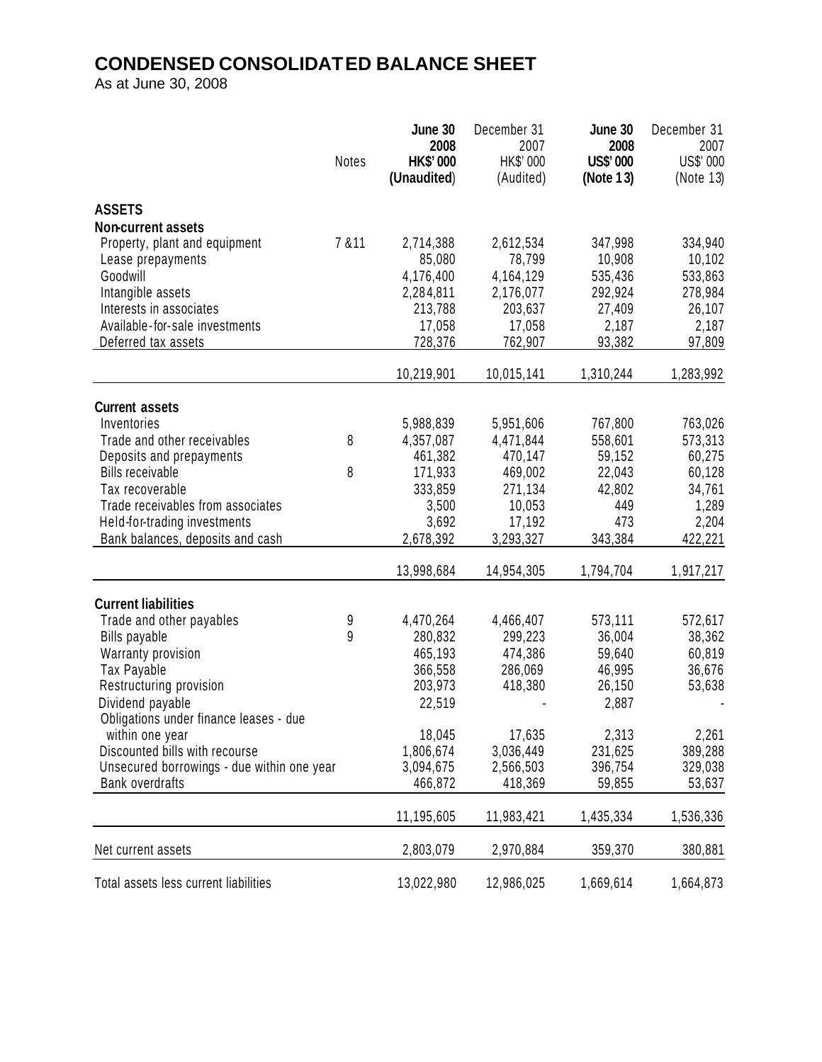# **CONDENSED CONSOLIDATED BALANCE SHEET**

As at June 30, 2008

|                                                                      | Notes  | June 30<br>2008<br><b>HK\$'000</b><br>(Unaudited) | December 31<br>2007<br>HK\$' 000<br>(Audited) | June 30<br>2008<br><b>US\$'000</b><br>(Note 13) | December 31<br>2007<br>US\$' 000<br>(Note 13) |
|----------------------------------------------------------------------|--------|---------------------------------------------------|-----------------------------------------------|-------------------------------------------------|-----------------------------------------------|
|                                                                      |        |                                                   |                                               |                                                 |                                               |
| <b>ASSETS</b>                                                        |        |                                                   |                                               |                                                 |                                               |
| <b>Non-current assets</b><br>Property, plant and equipment           | 7 & 11 | 2,714,388                                         | 2,612,534                                     | 347,998                                         | 334,940                                       |
| Lease prepayments                                                    |        | 85,080                                            | 78,799                                        | 10,908                                          | 10,102                                        |
| Goodwill                                                             |        | 4,176,400                                         | 4,164,129                                     | 535,436                                         | 533,863                                       |
| Intangible assets                                                    |        | 2,284,811                                         | 2,176,077                                     | 292,924                                         | 278,984                                       |
| Interests in associates                                              |        | 213,788                                           | 203,637                                       | 27,409                                          | 26,107                                        |
| Available-for-sale investments                                       |        | 17,058                                            | 17,058                                        | 2,187                                           | 2,187                                         |
| Deferred tax assets                                                  |        | 728,376                                           | 762,907                                       | 93,382                                          | 97,809                                        |
|                                                                      |        | 10,219,901                                        | 10,015,141                                    | 1,310,244                                       | 1,283,992                                     |
| <b>Current assets</b>                                                |        |                                                   |                                               |                                                 |                                               |
| Inventories                                                          |        | 5,988,839                                         | 5,951,606                                     | 767,800                                         | 763,026                                       |
| Trade and other receivables                                          | 8      | 4,357,087                                         | 4,471,844                                     | 558,601                                         | 573,313                                       |
| Deposits and prepayments                                             |        | 461,382                                           | 470,147                                       | 59,152                                          | 60,275                                        |
| <b>Bills receivable</b>                                              | 8      | 171,933                                           | 469,002                                       | 22,043                                          | 60,128                                        |
| Tax recoverable                                                      |        | 333,859                                           | 271,134                                       | 42,802                                          | 34,761                                        |
| Trade receivables from associates                                    |        | 3,500                                             | 10,053                                        | 449                                             | 1,289                                         |
| Held-for-trading investments                                         |        | 3,692                                             | 17,192                                        | 473                                             | 2,204                                         |
| Bank balances, deposits and cash                                     |        | 2,678,392                                         | 3,293,327                                     | 343,384                                         | 422,221                                       |
|                                                                      |        | 13,998,684                                        | 14,954,305                                    | 1,794,704                                       | 1,917,217                                     |
| <b>Current liabilities</b>                                           |        |                                                   |                                               |                                                 |                                               |
| Trade and other payables                                             | 9      | 4,470,264                                         | 4,466,407                                     | 573,111                                         | 572,617                                       |
| <b>Bills payable</b>                                                 | 9      | 280,832                                           | 299,223                                       | 36,004                                          | 38,362                                        |
| Warranty provision                                                   |        | 465,193                                           | 474,386                                       | 59,640                                          | 60,819                                        |
| Tax Payable                                                          |        | 366,558                                           | 286,069                                       | 46,995                                          | 36,676                                        |
| Restructuring provision                                              |        | 203,973                                           | 418,380                                       | 26,150                                          | 53,638                                        |
| Dividend payable                                                     |        | 22,519                                            |                                               | 2,887                                           |                                               |
| Obligations under finance leases - due                               |        |                                                   |                                               |                                                 |                                               |
| within one year                                                      |        | 18,045                                            | 17,635                                        | 2,313                                           | 2,261                                         |
| Discounted bills with recourse                                       |        | 1,806,674                                         | 3,036,449                                     | 231,625                                         | 389,288                                       |
| Unsecured borrowings - due within one year<br><b>Bank overdrafts</b> |        | 3,094,675<br>466,872                              | 2,566,503<br>418,369                          | 396,754<br>59,855                               | 329,038<br>53,637                             |
|                                                                      |        |                                                   |                                               |                                                 |                                               |
|                                                                      |        | 11,195,605                                        | 11,983,421                                    | 1,435,334                                       | 1,536,336                                     |
| Net current assets                                                   |        | 2,803,079                                         | 2,970,884                                     | 359,370                                         | 380,881                                       |
| Total assets less current liabilities                                |        | 13,022,980                                        | 12,986,025                                    | 1,669,614                                       | 1,664,873                                     |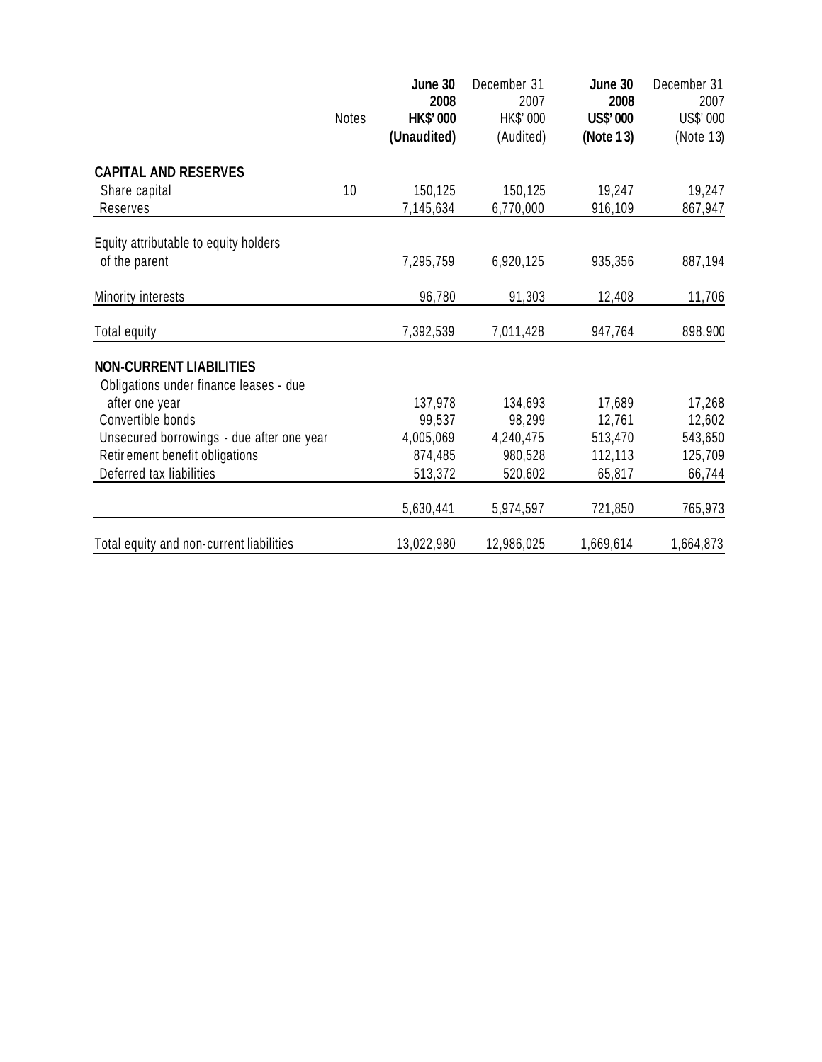|                                           | Notes | June 30<br>2008<br><b>HK\$'000</b><br>(Unaudited) | December 31<br>2007<br>HK\$' 000<br>(Audited) | June 30<br>2008<br><b>US\$'000</b><br>(Note 13) | December 31<br>2007<br>US\$' 000<br>(Note 13) |
|-------------------------------------------|-------|---------------------------------------------------|-----------------------------------------------|-------------------------------------------------|-----------------------------------------------|
| <b>CAPITAL AND RESERVES</b>               |       |                                                   |                                               |                                                 |                                               |
| Share capital                             | 10    | 150,125                                           | 150,125                                       | 19,247                                          | 19,247                                        |
| Reserves                                  |       | 7,145,634                                         | 6,770,000                                     | 916,109                                         | 867,947                                       |
| Equity attributable to equity holders     |       |                                                   |                                               |                                                 |                                               |
| of the parent                             |       | 7,295,759                                         | 6,920,125                                     | 935,356                                         | 887,194                                       |
| Minority interests                        |       | 96,780                                            | 91,303                                        | 12,408                                          | 11,706                                        |
| Total equity                              |       | 7,392,539                                         | 7,011,428                                     | 947,764                                         | 898,900                                       |
| <b>NON-CURRENT LIABILITIES</b>            |       |                                                   |                                               |                                                 |                                               |
| Obligations under finance leases - due    |       |                                                   |                                               |                                                 |                                               |
| after one year                            |       | 137,978                                           | 134,693                                       | 17,689                                          | 17,268                                        |
| Convertible bonds                         |       | 99,537                                            | 98,299                                        | 12,761                                          | 12,602                                        |
| Unsecured borrowings - due after one year |       | 4,005,069                                         | 4,240,475                                     | 513,470                                         | 543,650                                       |
| Retir ement benefit obligations           |       | 874,485                                           | 980,528                                       | 112,113                                         | 125,709                                       |
| Deferred tax liabilities                  |       | 513,372                                           | 520,602                                       | 65,817                                          | 66,744                                        |
|                                           |       | 5,630,441                                         | 5,974,597                                     | 721,850                                         | 765,973                                       |
| Total equity and non-current liabilities  |       | 13,022,980                                        | 12,986,025                                    | 1,669,614                                       | 1,664,873                                     |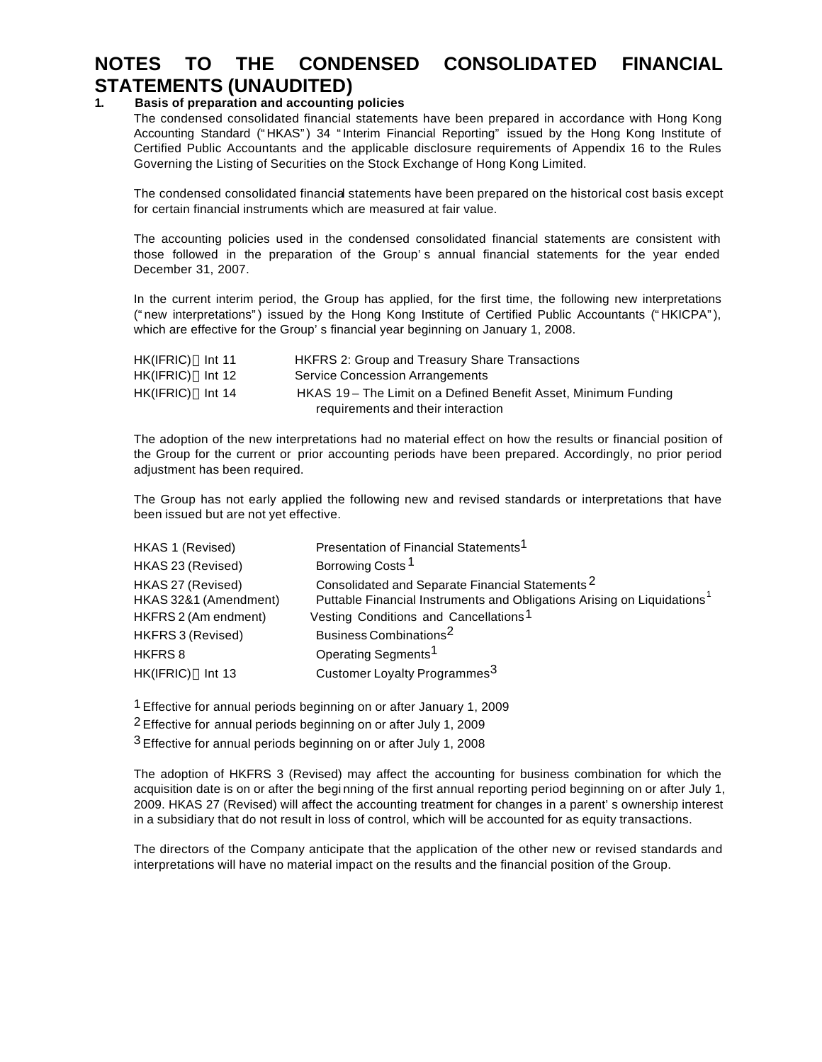## **NOTES TO THE CONDENSED CONSOLIDATED FINANCIAL STATEMENTS (UNAUDITED)**

### **1. Basis of preparation and accounting policies**

The condensed consolidated financial statements have been prepared in accordance with Hong Kong Accounting Standard ("HKAS") 34 "Interim Financial Reporting" issued by the Hong Kong Institute of Certified Public Accountants and the applicable disclosure requirements of Appendix 16 to the Rules Governing the Listing of Securities on the Stock Exchange of Hong Kong Limited.

The condensed consolidated financial statements have been prepared on the historical cost basis except for certain financial instruments which are measured at fair value.

The accounting policies used in the condensed consolidated financial statements are consistent with those followed in the preparation of the Group's annual financial statements for the year ended December 31, 2007.

In the current interim period, the Group has applied, for the first time, the following new interpretations ("new interpretations") issued by the Hong Kong Institute of Certified Public Accountants ("HKICPA"), which are effective for the Group's financial year beginning on January 1, 2008.

| HK(IFRIC) Int 11   | <b>HKFRS 2: Group and Treasury Share Transactions</b>           |
|--------------------|-----------------------------------------------------------------|
| $HK(IFRIC)$ Int 12 | <b>Service Concession Arrangements</b>                          |
| $HK(IFRIC)$ Int 14 | HKAS 19 – The Limit on a Defined Benefit Asset, Minimum Funding |
|                    | requirements and their interaction                              |

The adoption of the new interpretations had no material effect on how the results or financial position of the Group for the current or prior accounting periods have been prepared. Accordingly, no prior period adjustment has been required.

The Group has not early applied the following new and revised standards or interpretations that have been issued but are not yet effective.

| HKAS 1 (Revised)                           | Presentation of Financial Statements <sup>1</sup>                                                                                                  |
|--------------------------------------------|----------------------------------------------------------------------------------------------------------------------------------------------------|
| HKAS 23 (Revised)                          | Borrowing Costs <sup>1</sup>                                                                                                                       |
| HKAS 27 (Revised)<br>HKAS 32&1 (Amendment) | Consolidated and Separate Financial Statements <sup>2</sup><br>Puttable Financial Instruments and Obligations Arising on Liquidations <sup>1</sup> |
| HKFRS 2 (Am endment)                       | Vesting Conditions and Cancellations <sup>1</sup>                                                                                                  |
| HKFRS 3 (Revised)                          | Business Combinations <sup>2</sup>                                                                                                                 |
| HKFRS 8                                    | Operating Segments <sup>1</sup>                                                                                                                    |
| HK(IFRIC)<br>Int $13$                      | Customer Loyalty Programmes <sup>3</sup>                                                                                                           |

1 Effective for annual periods beginning on or after January 1, 2009

2 Effective for annual periods beginning on or after July 1, 2009

3 Effective for annual periods beginning on or after July 1, 2008

The adoption of HKFRS 3 (Revised) may affect the accounting for business combination for which the acquisition date is on or after the begi nning of the first annual reporting period beginning on or after July 1, 2009. HKAS 27 (Revised) will affect the accounting treatment for changes in a parent's ownership interest in a subsidiary that do not result in loss of control, which will be accounted for as equity transactions.

The directors of the Company anticipate that the application of the other new or revised standards and interpretations will have no material impact on the results and the financial position of the Group.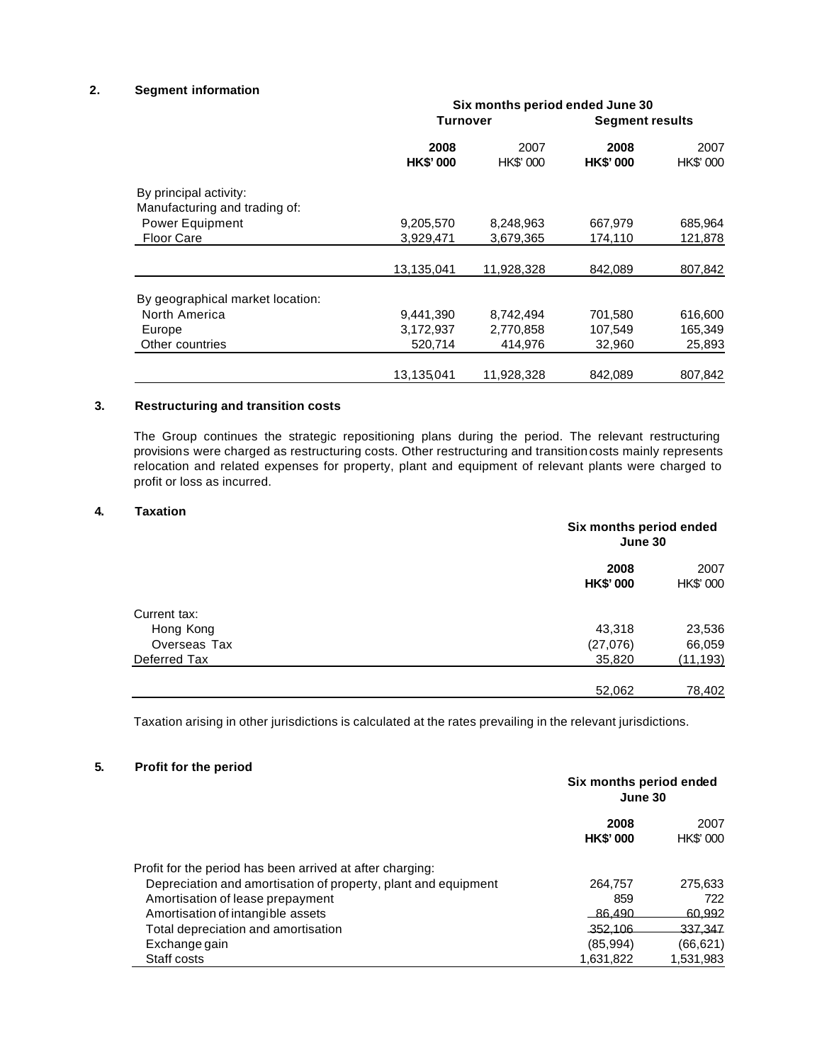#### **2. Segment information**

|                                  | Six months period ended June 30 |                   |                         |                        |
|----------------------------------|---------------------------------|-------------------|-------------------------|------------------------|
|                                  |                                 | Turnover          |                         | <b>Segment results</b> |
|                                  | 2008<br><b>HK\$'000</b>         | 2007<br>HK\$' 000 | 2008<br><b>HK\$'000</b> | 2007<br>HK\$' 000      |
| By principal activity:           |                                 |                   |                         |                        |
| Manufacturing and trading of:    |                                 |                   |                         |                        |
| <b>Power Equipment</b>           | 9,205,570                       | 8,248,963         | 667,979                 | 685,964                |
| <b>Floor Care</b>                | 3,929,471                       | 3,679,365         | 174,110                 | 121,878                |
|                                  | 13,135,041                      | 11,928,328        | 842.089                 | 807,842                |
| By geographical market location: |                                 |                   |                         |                        |
| North America                    | 9,441,390                       | 8,742,494         | 701,580                 | 616,600                |
| Europe                           | 3,172,937                       | 2,770,858         | 107,549                 | 165,349                |
| Other countries                  | 520.714                         | 414.976           | 32,960                  | 25,893                 |
|                                  | 13,135,041                      | 11,928,328        | 842.089                 | 807,842                |

#### **3. Restructuring and transition costs**

The Group continues the strategic repositioning plans during the period. The relevant restructuring provisions were charged as restructuring costs. Other restructuring and transition costs mainly represents relocation and related expenses for property, plant and equipment of relevant plants were charged to profit or loss as incurred.

#### **4. Taxation**

|              | Six months period ended<br>June 30 |                   |  |
|--------------|------------------------------------|-------------------|--|
|              | 2008<br><b>HK\$'000</b>            | 2007<br>HK\$' 000 |  |
| Current tax: |                                    |                   |  |
| Hong Kong    | 43,318                             | 23,536            |  |
| Overseas Tax | (27,076)                           | 66,059            |  |
| Deferred Tax | 35,820                             | (11, 193)         |  |
|              | 52,062                             | 78,402            |  |

Taxation arising in other jurisdictions is calculated at the rates prevailing in the relevant jurisdictions.

#### **5. Profit for the period**

|                                                                | Six months period ended<br>June 30 |                   |  |
|----------------------------------------------------------------|------------------------------------|-------------------|--|
|                                                                | 2008<br><b>HK\$'000</b>            | 2007<br>HK\$' 000 |  |
| Profit for the period has been arrived at after charging:      |                                    |                   |  |
| Depreciation and amortisation of property, plant and equipment | 264,757                            | 275,633           |  |
| Amortisation of lease prepayment                               | 859                                | 722               |  |
| Amortisation of intangible assets                              | 86.490                             | 60,992            |  |
| Total depreciation and amortisation                            | 352,106                            | 337.347           |  |
| Exchange gain                                                  | (85,994)                           | (66, 621)         |  |
| Staff costs                                                    | 1,631,822                          | 1,531,983         |  |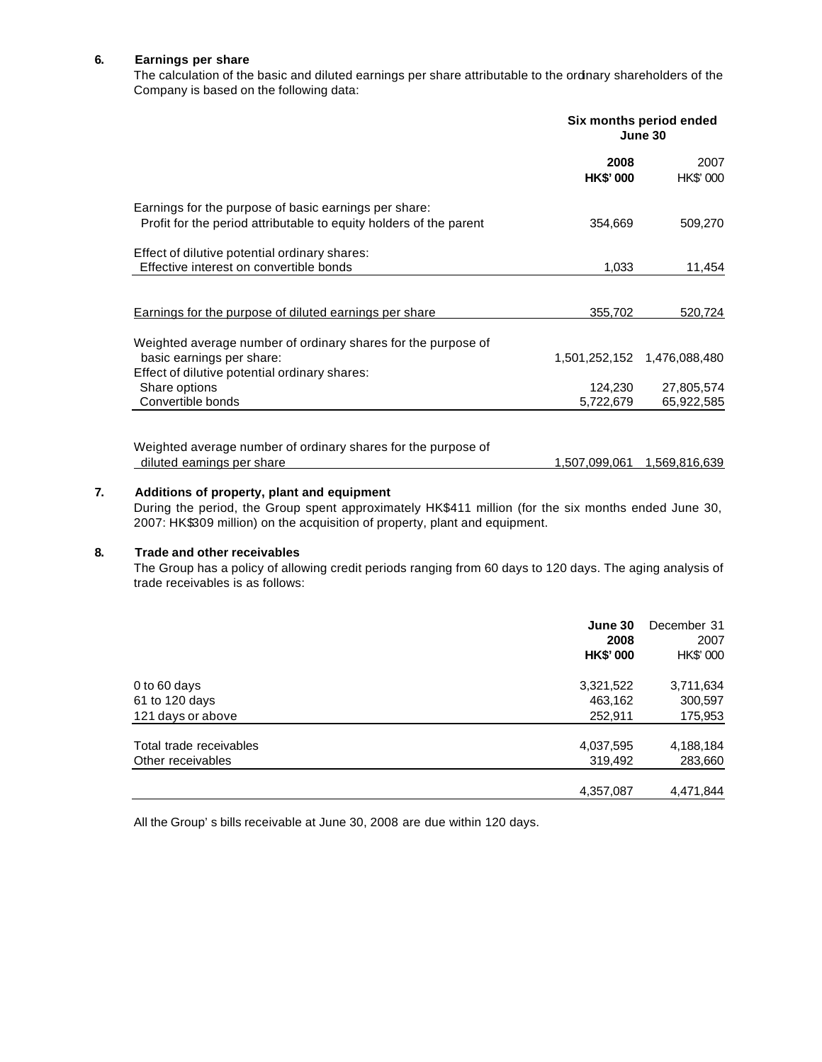#### **6. Earnings per share**

The calculation of the basic and diluted earnings per share attributable to the ordinary shareholders of the Company is based on the following data:

|                                                                                                                                             | Six months period ended<br>June 30 |                             |  |
|---------------------------------------------------------------------------------------------------------------------------------------------|------------------------------------|-----------------------------|--|
|                                                                                                                                             | 2008<br><b>HK\$'000</b>            | 2007<br>HK\$' 000           |  |
| Earnings for the purpose of basic earnings per share:<br>Profit for the period attributable to equity holders of the parent                 | 354,669                            | 509,270                     |  |
| Effect of dilutive potential ordinary shares:<br>Effective interest on convertible bonds                                                    | 1,033                              | 11,454                      |  |
| <b>Earnings for the purpose of diluted earnings per share</b>                                                                               | 355,702                            | 520,724                     |  |
| Weighted average number of ordinary shares for the purpose of<br>basic earnings per share:<br>Effect of dilutive potential ordinary shares: |                                    | 1,501,252,152 1,476,088,480 |  |
| Share options<br>Convertible bonds                                                                                                          | 124,230<br>5,722,679               | 27,805,574<br>65,922,585    |  |
| Weighted average number of ordinary shares for the purpose of<br>diluted eamings per share                                                  | 1,507,099,061                      | 1,569,816,639               |  |

#### **7. Additions of property, plant and equipment**

During the period, the Group spent approximately HK\$411 million (for the six months ended June 30, 2007: HK\$309 million) on the acquisition of property, plant and equipment.

#### **8. Trade and other receivables**

The Group has a policy of allowing credit periods ranging from 60 days to 120 days. The aging analysis of trade receivables is as follows:

|                         | June 30<br>2008<br><b>HK\$'000</b> | December 31<br>2007<br>HK\$' 000 |
|-------------------------|------------------------------------|----------------------------------|
| 0 to 60 days            | 3,321,522                          | 3,711,634                        |
| 61 to 120 days          | 463,162                            | 300,597                          |
| 121 days or above       | 252,911                            | 175,953                          |
| Total trade receivables | 4,037,595                          | 4,188,184                        |
| Other receivables       | 319,492                            | 283,660                          |
|                         | 4,357,087                          | 4,471,844                        |

All the Group's bills receivable at June 30, 2008 are due within 120 days.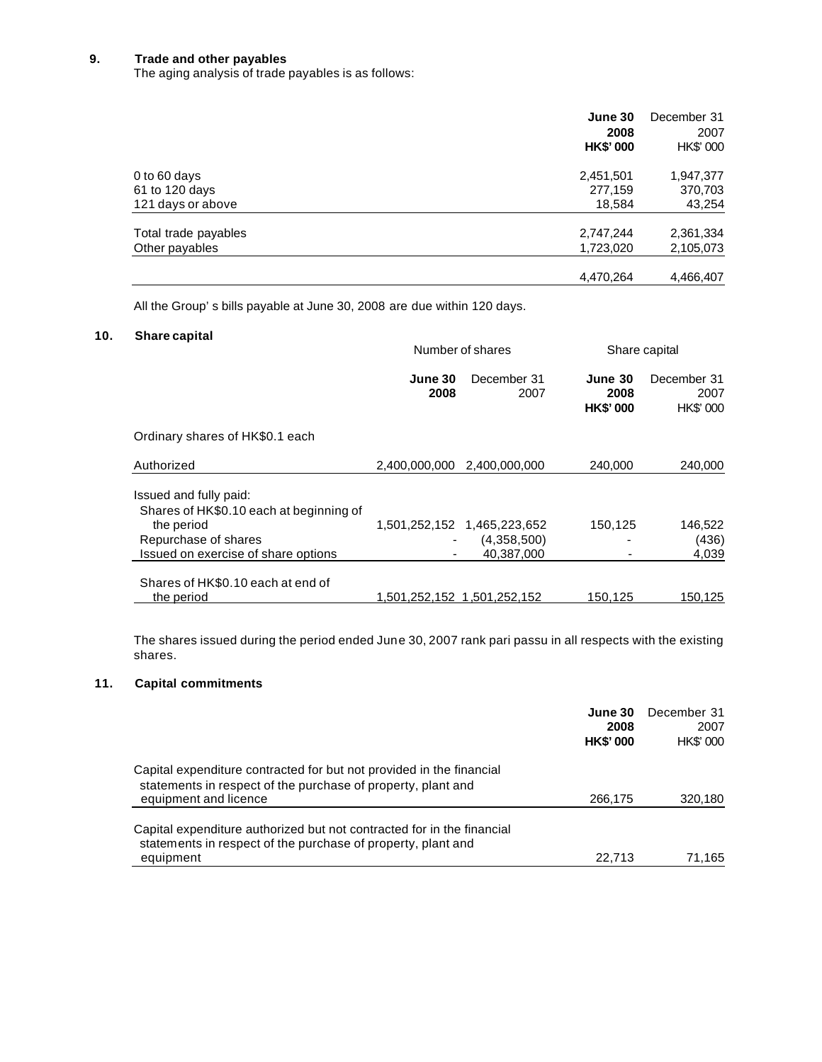#### **9. Trade and other payables**

The aging analysis of trade payables is as follows:

|                      | June 30<br>2008<br><b>HK\$'000</b> | December 31<br>2007<br>HK\$' 000 |
|----------------------|------------------------------------|----------------------------------|
| 0 to 60 days         | 2,451,501                          | 1,947,377                        |
| 61 to 120 days       | 277,159                            | 370,703                          |
| 121 days or above    | 18,584                             | 43,254                           |
| Total trade payables | 2,747,244                          | 2,361,334                        |
| Other payables       | 1,723,020                          | 2,105,073                        |
|                      | 4,470,264                          | 4,466,407                        |

All the Group's bills payable at June 30, 2008 are due within 120 days.

#### **10. Share capital**

| Share capital                                                     | Number of shares |                             |                                    | Share capital                    |  |
|-------------------------------------------------------------------|------------------|-----------------------------|------------------------------------|----------------------------------|--|
|                                                                   | June 30<br>2008  | December 31<br>2007         | June 30<br>2008<br><b>HK\$'000</b> | December 31<br>2007<br>HK\$' 000 |  |
| Ordinary shares of HK\$0.1 each                                   |                  |                             |                                    |                                  |  |
| Authorized                                                        |                  | 2,400,000,000 2,400,000,000 | 240,000                            | 240,000                          |  |
| Issued and fully paid:<br>Shares of HK\$0.10 each at beginning of |                  |                             |                                    |                                  |  |
| the period                                                        |                  | 1,501,252,152 1,465,223,652 | 150,125                            | 146,522                          |  |
| Repurchase of shares                                              |                  | (4,358,500)                 |                                    | (436)                            |  |
| Issued on exercise of share options                               |                  | 40.387.000                  |                                    | 4,039                            |  |
| Shares of HK\$0.10 each at end of                                 |                  |                             |                                    |                                  |  |
| the period                                                        |                  |                             | 150,125                            | 150,125                          |  |

The shares issued during the period ended June 30, 2007 rank pari passu in all respects with the existing shares.

#### **11. Capital commitments**

|                                                                                                                                                               | June 30<br>2008<br><b>HK\$'000</b> | December 31<br>2007<br>HK\$' 000 |
|---------------------------------------------------------------------------------------------------------------------------------------------------------------|------------------------------------|----------------------------------|
| Capital expenditure contracted for but not provided in the financial<br>statements in respect of the purchase of property, plant and<br>equipment and licence | 266,175                            | 320,180                          |
| Capital expenditure authorized but not contracted for in the financial<br>statements in respect of the purchase of property, plant and<br>equipment           | 22.713                             | 71,165                           |